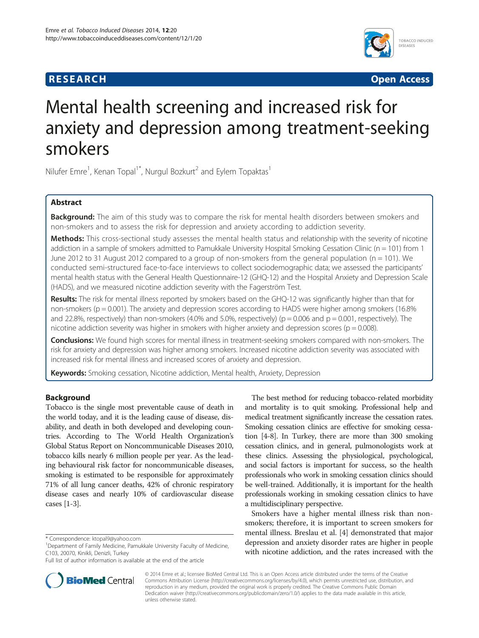# **RESEARCH RESEARCH** *CHECKER CHECKER CHECKER CHECKER CHECKER CHECKER CHECKER CHECKER CHECKER CHECKER CHECKER*



# Mental health screening and increased risk for anxiety and depression among treatment-seeking smokers

Nilufer Emre<sup>1</sup>, Kenan Topal<sup>1\*</sup>, Nurgul Bozkurt<sup>2</sup> and Eylem Topaktas<sup>1</sup>

# Abstract

Background: The aim of this study was to compare the risk for mental health disorders between smokers and non-smokers and to assess the risk for depression and anxiety according to addiction severity.

Methods: This cross-sectional study assesses the mental health status and relationship with the severity of nicotine addiction in a sample of smokers admitted to Pamukkale University Hospital Smoking Cessation Clinic ( $n = 101$ ) from 1 June 2012 to 31 August 2012 compared to a group of non-smokers from the general population ( $n = 101$ ). We conducted semi-structured face-to-face interviews to collect sociodemographic data; we assessed the participants' mental health status with the General Health Questionnaire-12 (GHQ-12) and the Hospital Anxiety and Depression Scale (HADS), and we measured nicotine addiction severity with the Fagerström Test.

Results: The risk for mental illness reported by smokers based on the GHQ-12 was significantly higher than that for non-smokers (p = 0.001). The anxiety and depression scores according to HADS were higher among smokers (16.8% and 22.8%, respectively) than non-smokers (4.0% and 5.0%, respectively) ( $p = 0.006$  and  $p = 0.001$ , respectively). The nicotine addiction severity was higher in smokers with higher anxiety and depression scores ( $p = 0.008$ ).

Conclusions: We found high scores for mental illness in treatment-seeking smokers compared with non-smokers. The risk for anxiety and depression was higher among smokers. Increased nicotine addiction severity was associated with increased risk for mental illness and increased scores of anxiety and depression.

Keywords: Smoking cessation, Nicotine addiction, Mental health, Anxiety, Depression

# Background

Tobacco is the single most preventable cause of death in the world today, and it is the leading cause of disease, disability, and death in both developed and developing countries. According to The World Health Organization's Global Status Report on Noncommunicable Diseases 2010, tobacco kills nearly 6 million people per year. As the leading behavioural risk factor for noncommunicable diseases, smoking is estimated to be responsible for approximately 71% of all lung cancer deaths, 42% of chronic respiratory disease cases and nearly 10% of cardiovascular disease cases [\[1](#page-5-0)-[3](#page-5-0)].



Smokers have a higher mental illness risk than nonsmokers; therefore, it is important to screen smokers for mental illness. Breslau et al. [\[4](#page-5-0)] demonstrated that major depression and anxiety disorder rates are higher in people with nicotine addiction, and the rates increased with the



© 2014 Emre et al.; licensee BioMed Central Ltd. This is an Open Access article distributed under the terms of the Creative Commons Attribution License [\(http://creativecommons.org/licenses/by/4.0\)](http://creativecommons.org/licenses/by/4.0), which permits unrestricted use, distribution, and reproduction in any medium, provided the original work is properly credited. The Creative Commons Public Domain Dedication waiver [\(http://creativecommons.org/publicdomain/zero/1.0/](http://creativecommons.org/publicdomain/zero/1.0/)) applies to the data made available in this article, unless otherwise stated.

<sup>\*</sup> Correspondence: [ktopal9@yahoo.com](mailto:ktopal9@yahoo.com) <sup>1</sup>

<sup>&</sup>lt;sup>1</sup>Department of Family Medicine, Pamukkale University Faculty of Medicine, C103, 20070, Kinikli, Denizli, Turkey

Full list of author information is available at the end of the article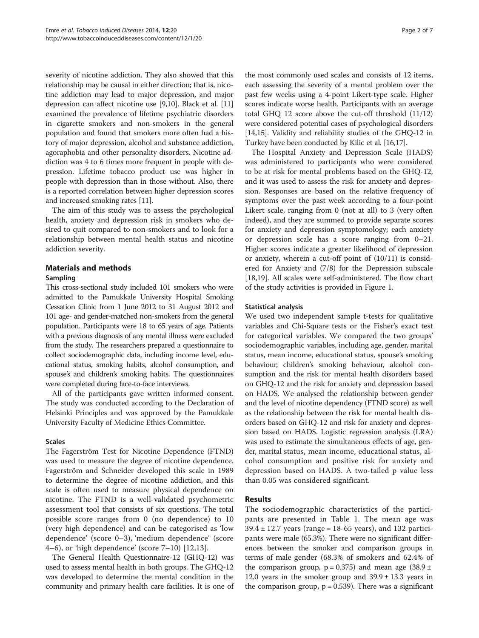severity of nicotine addiction. They also showed that this relationship may be causal in either direction; that is, nicotine addiction may lead to major depression, and major depression can affect nicotine use [\[9,10\]](#page-5-0). Black et al. [[11](#page-5-0)] examined the prevalence of lifetime psychiatric disorders in cigarette smokers and non-smokers in the general population and found that smokers more often had a history of major depression, alcohol and substance addiction, agoraphobia and other personality disorders. Nicotine addiction was 4 to 6 times more frequent in people with depression. Lifetime tobacco product use was higher in people with depression than in those without. Also, there is a reported correlation between higher depression scores and increased smoking rates [[11](#page-5-0)].

The aim of this study was to assess the psychological health, anxiety and depression risk in smokers who desired to quit compared to non-smokers and to look for a relationship between mental health status and nicotine addiction severity.

# Materials and methods

# Sampling

This cross-sectional study included 101 smokers who were admitted to the Pamukkale University Hospital Smoking Cessation Clinic from 1 June 2012 to 31 August 2012 and 101 age- and gender-matched non-smokers from the general population. Participants were 18 to 65 years of age. Patients with a previous diagnosis of any mental illness were excluded from the study. The researchers prepared a questionnaire to collect sociodemographic data, including income level, educational status, smoking habits, alcohol consumption, and spouse's and children's smoking habits. The questionnaires were completed during face-to-face interviews.

All of the participants gave written informed consent. The study was conducted according to the Declaration of Helsinki Principles and was approved by the Pamukkale University Faculty of Medicine Ethics Committee.

#### Scales

The Fagerström Test for Nicotine Dependence (FTND) was used to measure the degree of nicotine dependence. Fagerström and Schneider developed this scale in 1989 to determine the degree of nicotine addiction, and this scale is often used to measure physical dependence on nicotine. The FTND is a well-validated psychometric assessment tool that consists of six questions. The total possible score ranges from 0 (no dependence) to 10 (very high dependence) and can be categorised as 'low dependence' (score 0–3), 'medium dependence' (score 4–6), or 'high dependence' (score 7–10) [\[12,13\]](#page-5-0).

The General Health Questionnaire-12 (GHQ-12) was used to assess mental health in both groups. The GHQ-12 was developed to determine the mental condition in the community and primary health care facilities. It is one of

the most commonly used scales and consists of 12 items, each assessing the severity of a mental problem over the past few weeks using a 4-point Likert-type scale. Higher scores indicate worse health. Participants with an average total GHQ 12 score above the cut-off threshold (11/12) were considered potential cases of psychological disorders [[14](#page-5-0),[15](#page-5-0)]. Validity and reliability studies of the GHQ-12 in Turkey have been conducted by Kilic et al. [\[16,17\]](#page-5-0).

The Hospital Anxiety and Depression Scale (HADS) was administered to participants who were considered to be at risk for mental problems based on the GHQ-12, and it was used to assess the risk for anxiety and depression. Responses are based on the relative frequency of symptoms over the past week according to a four-point Likert scale, ranging from 0 (not at all) to 3 (very often indeed), and they are summed to provide separate scores for anxiety and depression symptomology; each anxiety or depression scale has a score ranging from 0–21. Higher scores indicate a greater likelihood of depression or anxiety, wherein a cut-off point of (10/11) is considered for Anxiety and (7/8) for the Depression subscale [[18,19\]](#page-5-0). All scales were self-administered. The flow chart of the study activities is provided in Figure [1](#page-2-0).

# Statistical analysis

We used two independent sample t-tests for qualitative variables and Chi-Square tests or the Fisher's exact test for categorical variables. We compared the two groups' sociodemographic variables, including age, gender, marital status, mean income, educational status, spouse's smoking behaviour, children's smoking behaviour, alcohol consumption and the risk for mental health disorders based on GHQ-12 and the risk for anxiety and depression based on HADS. We analysed the relationship between gender and the level of nicotine dependency (FTND score) as well as the relationship between the risk for mental health disorders based on GHQ-12 and risk for anxiety and depression based on HADS. Logistic regression analysis (LRA) was used to estimate the simultaneous effects of age, gender, marital status, mean income, educational status, alcohol consumption and positive risk for anxiety and depression based on HADS. A two-tailed p value less than 0.05 was considered significant.

# Results

The sociodemographic characteristics of the participants are presented in Table [1](#page-2-0). The mean age was  $39.4 \pm 12.7$  years (range = 18-65 years), and 132 participants were male (65.3%). There were no significant differences between the smoker and comparison groups in terms of male gender (68.3% of smokers and 62.4% of the comparison group,  $p = 0.375$ ) and mean age  $(38.9 \pm$ 12.0 years in the smoker group and  $39.9 \pm 13.3$  years in the comparison group,  $p = 0.539$ ). There was a significant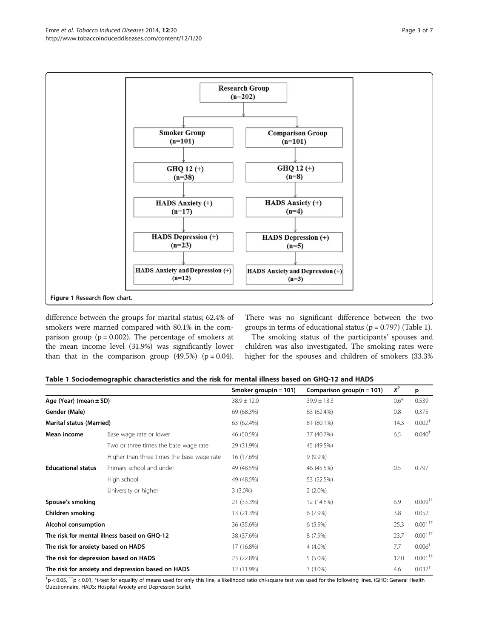<span id="page-2-0"></span>

difference between the groups for marital status; 62.4% of smokers were married compared with 80.1% in the comparison group ( $p = 0.002$ ). The percentage of smokers at the mean income level (31.9%) was significantly lower than that in the comparison group  $(49.5\%)$  (p = 0.04).

There was no significant difference between the two groups in terms of educational status ( $p = 0.797$ ) (Table 1).

The smoking status of the participants' spouses and children was also investigated. The smoking rates were higher for the spouses and children of smokers (33.3%

|  | Table 1 Sociodemographic characteristics and the risk for mental illness based on GHQ-12 and HADS |  |  |  |  |  |
|--|---------------------------------------------------------------------------------------------------|--|--|--|--|--|
|--|---------------------------------------------------------------------------------------------------|--|--|--|--|--|

|                                       |                                                   | Smoker group( $n = 101$ ) | Comparison group( $n = 101$ ) | $X^2$  | p                     |
|---------------------------------------|---------------------------------------------------|---------------------------|-------------------------------|--------|-----------------------|
| Age (Year) (mean $\pm$ SD)            |                                                   | $38.9 \pm 12.0$           | $39.9 \pm 13.3$               | $0.6*$ | 0.539                 |
| Gender (Male)                         |                                                   | 69 (68.3%)                | 63 (62.4%)                    | 0.8    | 0.375                 |
| <b>Marital status (Married)</b>       |                                                   | 63 (62.4%)                | 81 (80.1%)                    | 14.3   | 0.002 <sup>†</sup>    |
| Mean income                           | Base wage rate or lower                           | 46 (50.5%)                | 37 (40.7%)                    | 6.5    | $0.040^{\dagger}$     |
|                                       | Two or three times the base wage rate             | 29 (31.9%)                | 45 (49.5%)                    |        |                       |
|                                       | Higher than three times the base wage rate        | 16 (17.6%)                | $9(9.9\%)$                    |        |                       |
| <b>Educational status</b>             | Primary school and under                          | 49 (48.5%)                | 46 (45.5%)                    | 0.5    | 0.797                 |
|                                       | High school                                       | 49 (48.5%)                | 53 (52.5%)                    |        |                       |
|                                       | University or higher                              | $3(3.0\%)$                | $2(2.0\%)$                    |        |                       |
| Spouse's smoking                      |                                                   | 21 (33.3%)                | 12 (14.8%)                    | 6.9    | $0.009^{++}$          |
| Children smoking                      |                                                   | 13 (21.3%)                | $6(7.9\%)$                    | 3.8    | 0.052                 |
| Alcohol consumption                   |                                                   | 36 (35.6%)                | $6(5.9\%)$                    | 25.3   | $0.001^{++}$          |
|                                       | The risk for mental illness based on GHO-12       | 38 (37.6%)                | 8 (7.9%)                      | 23.7   | $0.001$ <sup>++</sup> |
| The risk for anxiety based on HADS    |                                                   | 17 (16.8%)                | 4 (4.0%)                      | 7.7    | 0.006 <sup>†</sup>    |
| The risk for depression based on HADS |                                                   | 23 (22.8%)                | $5(5.0\%)$                    | 12.0   | $0.001$ <sup>++</sup> |
|                                       | The risk for anxiety and depression based on HADS | 12 (11.9%)                | $3(3.0\%)$                    | 4.6    | $0.032$ <sup>†</sup>  |

 $^{\dagger}$ p < 0.05,  $^{\dagger +}$ p < 0.01, \*t-test for equality of means used for only this line, a likelihood ratio chi-square test was used for the following lines. (GHQ: General Health Questionnaire, HADS: Hospital Anxiety and Depression Scale).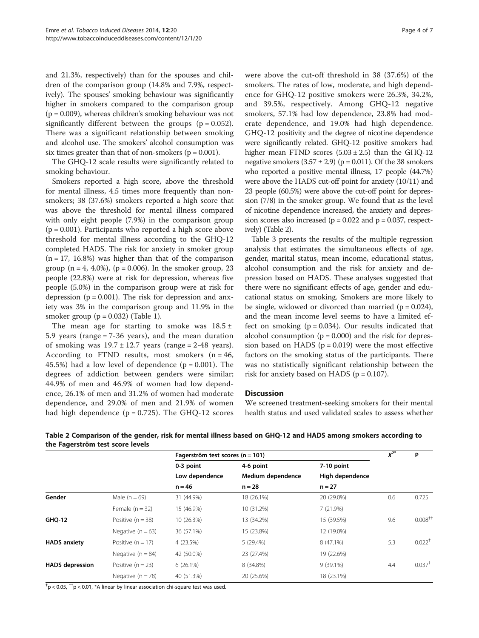and 21.3%, respectively) than for the spouses and children of the comparison group (14.8% and 7.9%, respectively). The spouses' smoking behaviour was significantly higher in smokers compared to the comparison group  $(p = 0.009)$ , whereas children's smoking behaviour was not significantly different between the groups  $(p = 0.052)$ . There was a significant relationship between smoking and alcohol use. The smokers' alcohol consumption was six times greater than that of non-smokers ( $p = 0.001$ ).

The GHQ-12 scale results were significantly related to smoking behaviour.

Smokers reported a high score, above the threshold for mental illness, 4.5 times more frequently than nonsmokers; 38 (37.6%) smokers reported a high score that was above the threshold for mental illness compared with only eight people (7.9%) in the comparison group  $(p = 0.001)$ . Participants who reported a high score above threshold for mental illness according to the GHQ-12 completed HADS. The risk for anxiety in smoker group  $(n = 17, 16.8\%)$  was higher than that of the comparison group  $(n = 4, 4.0\%)$ ,  $(p = 0.006)$ . In the smoker group, 23 people (22.8%) were at risk for depression, whereas five people (5.0%) in the comparison group were at risk for depression ( $p = 0.001$ ). The risk for depression and anxiety was 3% in the comparison group and 11.9% in the smoker group  $(p = 0.032)$  (Table [1\)](#page-2-0).

The mean age for starting to smoke was  $18.5 \pm$ 5.9 years (range = 7-36 years), and the mean duration of smoking was  $19.7 \pm 12.7$  years (range = 2-48 years). According to FTND results, most smokers  $(n = 46,$ 45.5%) had a low level of dependence  $(p = 0.001)$ . The degrees of addiction between genders were similar; 44.9% of men and 46.9% of women had low dependence, 26.1% of men and 31.2% of women had moderate dependence, and 29.0% of men and 21.9% of women had high dependence ( $p = 0.725$ ). The GHQ-12 scores were above the cut-off threshold in 38 (37.6%) of the smokers. The rates of low, moderate, and high dependence for GHQ-12 positive smokers were 26.3%, 34.2%, and 39.5%, respectively. Among GHQ-12 negative smokers, 57.1% had low dependence, 23.8% had moderate dependence, and 19.0% had high dependence. GHQ-12 positivity and the degree of nicotine dependence were significantly related. GHQ-12 positive smokers had higher mean FTND scores  $(5.03 \pm 2.5)$  than the GHQ-12 negative smokers  $(3.57 \pm 2.9)$  (p = 0.011). Of the 38 smokers who reported a positive mental illness, 17 people (44.7%) were above the HADS cut-off point for anxiety (10/11) and 23 people (60.5%) were above the cut-off point for depression (7/8) in the smoker group. We found that as the level of nicotine dependence increased, the anxiety and depression scores also increased ( $p = 0.022$  and  $p = 0.037$ , respectively) (Table 2).

Table [3](#page-4-0) presents the results of the multiple regression analysis that estimates the simultaneous effects of age, gender, marital status, mean income, educational status, alcohol consumption and the risk for anxiety and depression based on HADS. These analyses suggested that there were no significant effects of age, gender and educational status on smoking. Smokers are more likely to be single, widowed or divorced than married  $(p = 0.024)$ , and the mean income level seems to have a limited effect on smoking  $(p = 0.034)$ . Our results indicated that alcohol consumption ( $p = 0.000$ ) and the risk for depression based on HADS ( $p = 0.019$ ) were the most effective factors on the smoking status of the participants. There was no statistically significant relationship between the risk for anxiety based on HADS ( $p = 0.107$ ).

#### **Discussion**

We screened treatment-seeking smokers for their mental health status and used validated scales to assess whether

|                        |                     | Fagerström test scores (n = 101) |                   |                 | $X^{2^*}$ | P                    |
|------------------------|---------------------|----------------------------------|-------------------|-----------------|-----------|----------------------|
|                        |                     | 0-3 point                        | 4-6 point         | 7-10 point      |           |                      |
|                        |                     | Low dependence<br>$n = 46$       | Medium dependence | High dependence |           |                      |
|                        |                     |                                  | $n = 28$          | $n = 27$        |           |                      |
| Gender                 | Male $(n = 69)$     | 31 (44.9%)                       | 18 (26.1%)        | 20 (29.0%)      | 0.6       | 0.725                |
|                        | Female $(n = 32)$   | 15 (46.9%)                       | 10 (31.2%)        | 7(21.9%)        |           |                      |
| <b>GHQ-12</b>          | Positive $(n = 38)$ | 10 (26.3%)                       | 13 (34.2%)        | 15 (39.5%)      | 9.6       | $0.008^{++}$         |
|                        | Negative $(n = 63)$ | 36 (57.1%)                       | 15 (23.8%)        | 12 (19.0%)      |           |                      |
| <b>HADS anxiety</b>    | Positive $(n = 17)$ | 4 (23.5%)                        | 5 (29.4%)         | 8 (47.1%)       | 5.3       | $0.022^{+}$          |
|                        | Negative $(n = 84)$ | 42 (50.0%)                       | 23 (27.4%)        | 19 (22.6%)      |           |                      |
| <b>HADS</b> depression | Positive $(n = 23)$ | $6(26.1\%)$                      | 8 (34.8%)         | $9(39.1\%)$     | 4.4       | $0.037$ <sup>†</sup> |
|                        | Negative $(n = 78)$ | 40 (51.3%)                       | 20 (25.6%)        | 18 (23.1%)      |           |                      |

Table 2 Comparison of the gender, risk for mental illness based on GHQ-12 and HADS among smokers according to the Fagerström test score levels

 $^{\dagger}$ p < 0.05,  $^{\dagger\dagger}$ p < 0.01, \*A linear by linear association chi-square test was used.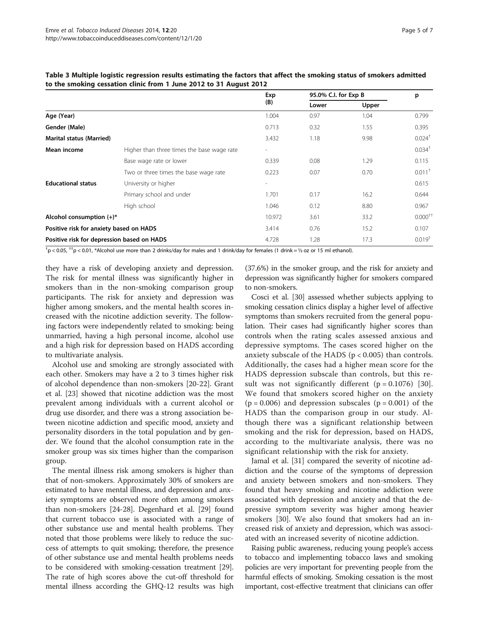|                                            |                                            | Exp<br>(B)               | 95.0% C.I. for Exp B |       | p                    |
|--------------------------------------------|--------------------------------------------|--------------------------|----------------------|-------|----------------------|
|                                            |                                            |                          | Lower                | Upper |                      |
| Age (Year)                                 |                                            | 1.004                    | 0.97                 | 1.04  | 0.799                |
| Gender (Male)                              |                                            | 0.713                    | 0.32                 | 1.55  | 0.395                |
| <b>Marital status (Married)</b>            |                                            | 3.432                    | 1.18                 | 9.98  | $0.024$ <sup>†</sup> |
| Mean income                                | Higher than three times the base wage rate | $\overline{\phantom{a}}$ |                      |       | $0.034$ <sup>†</sup> |
|                                            | Base wage rate or lower                    | 0.339                    | 0.08                 | 1.29  | 0.115                |
|                                            | Two or three times the base wage rate      | 0.223                    | 0.07                 | 0.70  | $0.011$ <sup>+</sup> |
| <b>Educational status</b>                  | University or higher                       | $\overline{\phantom{a}}$ |                      |       | 0.615                |
|                                            | Primary school and under                   | 1.701                    | 0.17                 | 16.2  | 0.644                |
|                                            | High school                                | 1.046                    | 0.12                 | 8.80  | 0.967                |
| Alcohol consumption $(+)^*$                |                                            | 10.972                   | 3.61                 | 33.2  | $0.000^{+1}$         |
| Positive risk for anxiety based on HADS    |                                            | 3.414                    | 0.76                 | 15.2  | 0.107                |
| Positive risk for depression based on HADS |                                            | 4.728                    | 1.28                 | 17.3  | $0.019^{+}$          |

<span id="page-4-0"></span>

| Table 3 Multiple logistic regression results estimating the factors that affect the smoking status of smokers admitted |  |
|------------------------------------------------------------------------------------------------------------------------|--|
| to the smoking cessation clinic from 1 June 2012 to 31 August 2012                                                     |  |

 $^{\dag}$ p < 0.05,  $^{\dag}$ p < 0.01, \*Alcohol use more than 2 drinks/day for males and 1 drink/day for females (1 drink = ½ oz or 15 ml ethanol).

they have a risk of developing anxiety and depression. The risk for mental illness was significantly higher in smokers than in the non-smoking comparison group participants. The risk for anxiety and depression was higher among smokers, and the mental health scores increased with the nicotine addiction severity. The following factors were independently related to smoking: being unmarried, having a high personal income, alcohol use and a high risk for depression based on HADS according to multivariate analysis.

Alcohol use and smoking are strongly associated with each other. Smokers may have a 2 to 3 times higher risk of alcohol dependence than non-smokers [[20-22\]](#page-5-0). Grant et al. [\[23](#page-5-0)] showed that nicotine addiction was the most prevalent among individuals with a current alcohol or drug use disorder, and there was a strong association between nicotine addiction and specific mood, anxiety and personality disorders in the total population and by gender. We found that the alcohol consumption rate in the smoker group was six times higher than the comparison group.

The mental illness risk among smokers is higher than that of non-smokers. Approximately 30% of smokers are estimated to have mental illness, and depression and anxiety symptoms are observed more often among smokers than non-smokers [[24](#page-5-0)-[28](#page-5-0)]. Degenhard et al. [[29](#page-5-0)] found that current tobacco use is associated with a range of other substance use and mental health problems. They noted that those problems were likely to reduce the success of attempts to quit smoking; therefore, the presence of other substance use and mental health problems needs to be considered with smoking-cessation treatment [[29](#page-5-0)]. The rate of high scores above the cut-off threshold for mental illness according the GHQ-12 results was high (37.6%) in the smoker group, and the risk for anxiety and depression was significantly higher for smokers compared to non-smokers.

Cosci et al. [\[30\]](#page-6-0) assessed whether subjects applying to smoking cessation clinics display a higher level of affective symptoms than smokers recruited from the general population. Their cases had significantly higher scores than controls when the rating scales assessed anxious and depressive symptoms. The cases scored higher on the anxiety subscale of the HADS ( $p < 0.005$ ) than controls. Additionally, the cases had a higher mean score for the HADS depression subscale than controls, but this result was not significantly different  $(p = 0.1076)$  [[30](#page-6-0)]. We found that smokers scored higher on the anxiety  $(p = 0.006)$  and depression subscales  $(p = 0.001)$  of the HADS than the comparison group in our study. Although there was a significant relationship between smoking and the risk for depression, based on HADS, according to the multivariate analysis, there was no significant relationship with the risk for anxiety.

Jamal et al. [[31](#page-6-0)] compared the severity of nicotine addiction and the course of the symptoms of depression and anxiety between smokers and non-smokers. They found that heavy smoking and nicotine addiction were associated with depression and anxiety and that the depressive symptom severity was higher among heavier smokers [\[30](#page-6-0)]. We also found that smokers had an increased risk of anxiety and depression, which was associated with an increased severity of nicotine addiction.

Raising public awareness, reducing young people's access to tobacco and implementing tobacco laws and smoking policies are very important for preventing people from the harmful effects of smoking. Smoking cessation is the most important, cost-effective treatment that clinicians can offer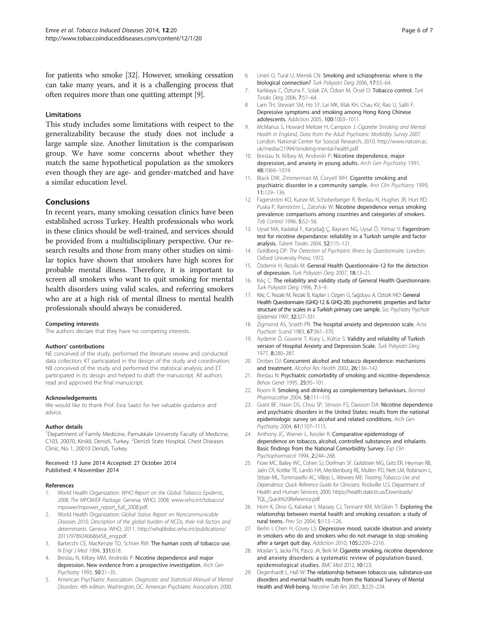<span id="page-5-0"></span>for patients who smoke [\[32](#page-6-0)]. However, smoking cessation can take many years, and it is a challenging process that often requires more than one quitting attempt [9].

#### Limitations

This study includes some limitations with respect to the generalizability because the study does not include a large sample size. Another limitation is the comparison group. We have some concerns about whether they match the same hypothetical population as the smokers even though they are age- and gender-matched and have a similar education level.

# Conclusions

In recent years, many smoking cessation clinics have been established across Turkey. Health professionals who work in these clinics should be well-trained, and services should be provided from a multidisciplinary perspective. Our research results and those from many other studies on similar topics have shown that smokers have high scores for probable mental illness. Therefore, it is important to screen all smokers who want to quit smoking for mental health disorders using valid scales, and referring smokers who are at a high risk of mental illness to mental health professionals should always be considered.

#### Competing interests

The authors declare that they have no competing interests.

#### Authors' contributions

NE conceived of the study, performed the literature review and conducted data collection; KT participated in the design of the study and coordination; NB conceived of the study and performed the statistical analysis; and ET participated in its design and helped to draft the manuscript. All authors read and approved the final manuscript.

#### Acknowledgements

We would like to thank Prof. Esra Saatci for her valuable guidance and advice.

#### Author details

<sup>1</sup>Department of Family Medicine, Pamukkale University Faculty of Medicine, C103, 20070, Kinikli, Denizli, Turkey. <sup>2</sup>Denizli State Hospital, Chest Diseases Clinic, No 1, 20010 Denizli, Turkey.

#### Received: 13 June 2014 Accepted: 27 October 2014 Published: 4 November 2014

#### References

- 1. World Health Organization: WHO Report on the Global Tobacco Epidemic, 2008, The MPOWER Package. Geneva: WHO; 2008. [www.who.int/tobacco/](http://www.who.int/tobacco/mpower/mpower_report_full_2008.pdf) [mpower/mpower\\_report\\_full\\_2008.pdf](http://www.who.int/tobacco/mpower/mpower_report_full_2008.pdf).
- 2. World Health Organization: Global Status Report on Noncommunicable Diseases 2010, Description of the global burden of NCDs, their risk factors and determinants. Geneva: WHO; 2011. [http://whqlibdoc.who.int/publications/](http://whqlibdoc.who.int/publications/2011/9789240686458_eng.pdf) [2011/9789240686458\\_eng.pdf.](http://whqlibdoc.who.int/publications/2011/9789240686458_eng.pdf)
- 3. Bartecchi CE, MacKenzie TD, Schrier RW: The human costs of tobacco use. N Engl J Med 1994, 331:618.
- 4. Breslau N, Kilbey MM, Andreski P: Nicotine dependence and major depression. New evidence from a prospective investigation. Arch Gen Psychiatry 1993, 50:31–35.
- 5. American Psychiatric Association: Diagnostic and Statistical Manual of Mental Disorders. 4th edition. Washington, DC: American Psychiatric Association; 2000.
- 6. Uneri O, Tural U, Memik CN: Smoking and schizophrenia: where is the biological connection? Turk Psikyiatri Derg 2006, 17:55–64.
- 7. Karlıkaya C, Öztuna F, Solak ZA, Özkan M, Örsel O: Tobacco control. Turk Toraks Derg 2006, 7:51–64.
- 8. Lam TH, Stewart SM, Ho SY, Lai MK, Mak KH, Chau KV, Rao U, Salili F: Depressive symptoms and smoking among Hong Kong Chinese adolescents. Addiction 2005, 100:1003–1011.
- 9. McManus S, Howard Meltzer H, Campion J: Cigarette Smoking and Mental Health in England, Data from the Adult Psychiatric Morbidity Survey 2007. London: National Center for Soocial Research; 2010. [http://www.natcen.ac.](http://www.natcen.ac.uk/media/21994/smoking-mental-health.pdf) [uk/media/21994/smoking-mental-health.pdf](http://www.natcen.ac.uk/media/21994/smoking-mental-health.pdf).
- 10. Breslau N, Kilbey M, Andreski P: Nicotine dependence, major depression, and anxiety in young adults. Arch Gen Psychiatry 1991, 48:1069–1074.
- 11. Black DW, Zimmerman M, Coryell WH: Cigarette smoking and psychiatric disorder in a community sample. Ann Clin Psychiatry 1999, 11:129–136.
- 12. Fagerström KO, Kunze M, Schoberberger R, Breslau N, Hughes JR, Hurt RD, Puska P, Ramström L, Zatoński W: Nicotine dependence versus smoking prevalence: comparisons among countries and categories of smokers. Tob Control 1996, 5:52–56.
- 13. Uysal MA, Kadakal F, Karşıdağ Ç, Bayram NG, Uysal Ö, Yılmaz V: Fagerstrom test for nicotine dependance: reliability in a Turkish sample and factor analysis. Tuberk Toraks 2004, 52:115–121.
- 14. Goldberg DP: The Detection of Psychiatric Illness by Questionnaire. London: Oxford University Press; 1972.
- 15. Özdemir H, Rezaki M: General Health Questionnaire-12 for the detection of depression. Turk Psikyiatri Derg 2007, 18:13–21.
- 16. Kiliç C: The reliability and validity study of General Health Questionnaire. Turk Psikyiatri Derg 1996, 7:3–9.
- 17. Kılıç C, Rezaki M, Rezaki B, Kaplan I, Ozgen G, Sağduyu A, Oztürk MO: General Health Questionnaire (GHQ-12 & GHQ-28): psychometric properties and factor structure of the scales in a Turkish primary care sample. Soc Psychiatry Psychiatr Epidemiol 1997, 32:327–331.
- 18. Zigmond AS, Snaith PR: The hospital anxiety and depression scale. Acta Psychiatr Scand 1983, 67:361–370.
- 19. Aydemir Ö, Güvenir T, Küey L, Kültür S: Validity and reliability of Turkish version of Hospital Anxiety and Depression Scale. Turk Psikyiatri Derg 1977, 8:280–287.
- 20. Drobes DJ: Concurrent alcohol and tobacco dependence: mechanisms and treatment. Alcohol Res Health 2002, 26:136–142.
- 21. Breslau N: Psychiatric comorbidity of smoking and nicotine dependence. Behav Genet 1995, 25:95–101.
- 22. Room R: Smoking and drinking as complementary behaviours. Biomed Pharmacother 2004, 58:111–115.
- 23. Grant BF, Hasin DS, Chou SP, Stinson FS, Dawson DA: Nicotine dependence and psychiatric disorders in the United States: results from the national epidemiologic survey on alcohol and related conditions. Arch Gen Psychiatry 2004, 61:1107–1115.
- 24. Anthony JC, Warner L, Kessler R: Comparative epidemiology of dependence on tobacco, alcohol, controlled substances and inhalants. Basic findings from the National Comorbidity Survey. Exp Clin Psychopharmacol 1994, 2:244–268.
- 25. Fiore MC, Bailey WC, Cohen SJ, Dorfman SF, Goldstein MG, Gritz ER, Heyman RB, Jaén CR, Kottke TE, Lando HA, Mecklenburg RE, Mullen PD, Nett LM, Robinson L, Stitzer ML, Tommasello AC, Villejo L, Wewers ME: Treating Tobacco Use and Dependence. Quick Reference Guide for Clinicians. Rockville: U.S. Department of Health and Human Services; 2000. [https://health.state.tn.us/Downloads/](https://health.state.tn.us/Downloads/TQL_Quick%20Reference.pdf) [TQL\\_Quick%20Reference.pdf.](https://health.state.tn.us/Downloads/TQL_Quick%20Reference.pdf)
- 26. Horn K, Dino G, Kalsekar I, Massey CJ, Tennant KM, McGloin T: Exploring the relationship between mental health and smoking cessation: a study of rural teens. Prev Sci 2004, 5:113–126.
- 27. Berlin I, Chen H, Covey LS: Depressive mood, suicide ideation and anxiety in smokers who do and smokers who do not manage to stop smoking after a target quit day. Addiction 2010, 105:2209–2216.
- 28. Moylan S, Jacka FN, Pasco JA, Berk M: Cigarette smoking, nicotine dependence and anxiety disorders: a systematic review of population-based, epidemiological studies. BMC Med 2012, 10:123.
- 29. Degenhardt L, Hall W: The relationship between tobacco use, substance-use disorders and mental health: results from the National Survey of Mental Health and Well-being. Nicotine Tob Res 2001, 3:225–234.